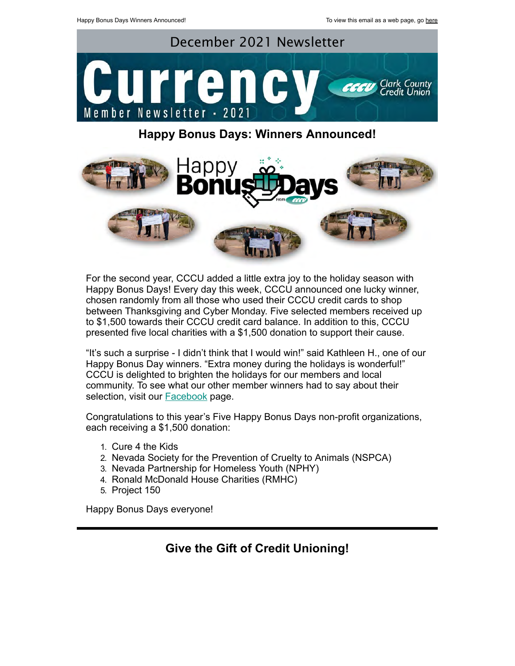

## **Happy Bonus Days: Winners Announced!**



For the second year, CCCU added a little extra joy to the holiday season with Happy Bonus Days! Every day this week, CCCU announced one lucky winner, chosen randomly from all those who used their CCCU credit cards to shop between Thanksgiving and Cyber Monday. Five selected members received up to \$1,500 towards their CCCU credit card balance. In addition to this, CCCU presented five local charities with a \$1,500 donation to support their cause.

"It's such a surprise - I didn't think that I would win!" said Kathleen H., one of our Happy Bonus Day winners. "Extra money during the holidays is wonderful!" CCCU is delighted to brighten the holidays for our members and local community. To see what our other member winners had to say about their selection, visit our **Facebook** page.

Congratulations to this year's Five Happy Bonus Days non-profit organizations, each receiving a \$1,500 donation:

- 1. Cure 4 the Kids
- 2. Nevada Society for the Prevention of Cruelty to Animals (NSPCA)
- 3. Nevada Partnership for Homeless Youth (NPHY)
- 4. Ronald McDonald House Charities (RMHC)
- 5. Project 150

Happy Bonus Days everyone!

## **Give the Gift of Credit Unioning!**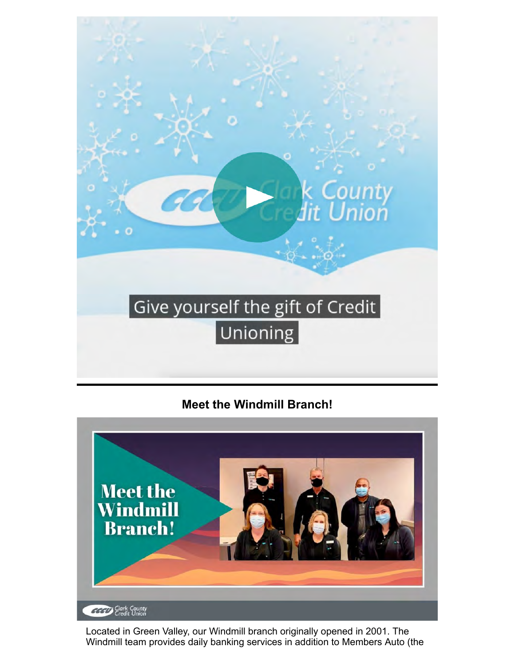

**Meet the Windmill Branch!**



Located in Green Valley, our Windmill branch originally opened in 2001. The Windmill team provides daily banking services in addition to Members Auto (the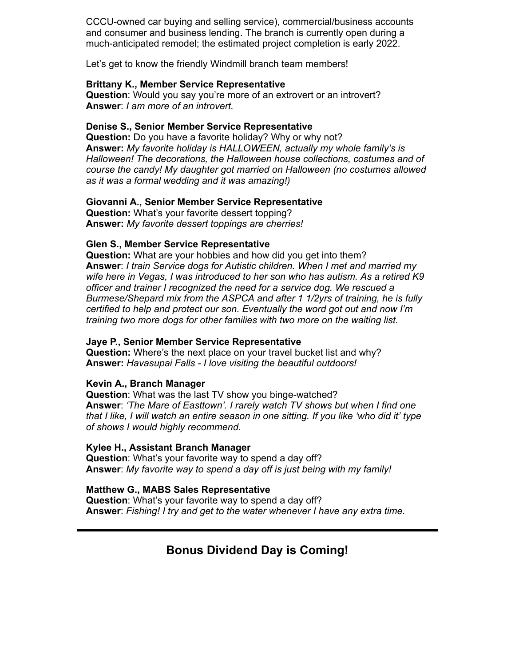CCCU-owned car buying and selling service), commercial/business accounts and consumer and business lending. The branch is currently open during a much-anticipated remodel; the estimated project completion is early 2022.

Let's get to know the friendly Windmill branch team members!

#### **Brittany K., Member Service Representative**

**Question:** Would you say you're more of an extrovert or an introvert? **Answer**: *I am more of an introvert.*

#### **Denise S., Senior Member Service Representative**

**Question:** Do you have a favorite holiday? Why or why not? **Answer:** *My favorite holiday is HALLOWEEN, actually my whole family's is Halloween! The decorations, the Halloween house collections, costumes and of course the candy! My daughter got married on Halloween (no costumes allowed as it was a formal wedding and it was amazing!)*

#### **Giovanni A., Senior Member Service Representative**

**Question:** What's your favorite dessert topping? **Answer:** *My favorite dessert toppings are cherries!*

#### **Glen S., Member Service Representative**

**Question:** What are your hobbies and how did you get into them? **Answer**: *I train Service dogs for Autistic children. When I met and married my wife here in Vegas, I was introduced to her son who has autism. As a retired K9 officer and trainer I recognized the need for a service dog. We rescued a Burmese/Shepard mix from the ASPCA and after 1 1/2yrs of training, he is fully certified to help and protect our son. Eventually the word got out and now I'm training two more dogs for other families with two more on the waiting list.*

#### **Jaye P., Senior Member Service Representative**

**Question:** Where's the next place on your travel bucket list and why? **Answer:** *Havasupai Falls - I love visiting the beautiful outdoors!*

#### **Kevin A., Branch Manager**

**Question**: What was the last TV show you binge-watched? **Answer**: *'The Mare of Easttown'. I rarely watch TV shows but when I find one that I like, I will watch an entire season in one sitting. If you like 'who did it' type of shows I would highly recommend.*

#### **Kylee H., Assistant Branch Manager**

**Question**: What's your favorite way to spend a day off? **Answer**: *My favorite way to spend a day off is just being with my family!*

### **Matthew G., MABS Sales Representative**

**Question**: What's your favorite way to spend a day off? **Answer**: *Fishing! I try and get to the water whenever I have any extra time.*

## **Bonus Dividend Day is Coming!**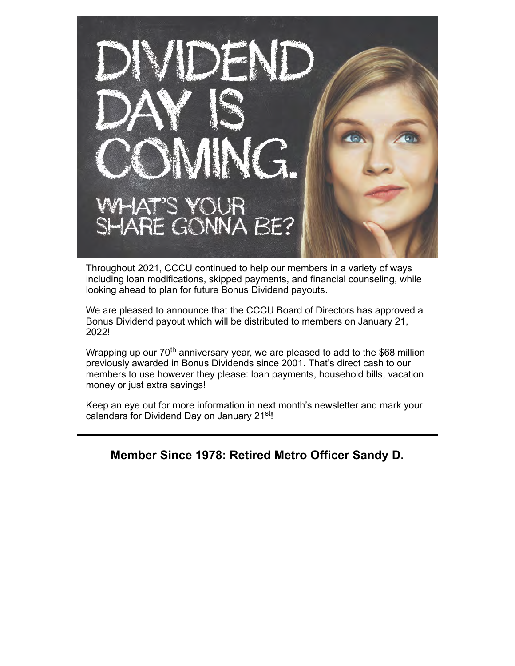

Throughout 2021, CCCU continued to help our members in a variety of ways including loan modifications, skipped payments, and financial counseling, while looking ahead to plan for future Bonus Dividend payouts.

We are pleased to announce that the CCCU Board of Directors has approved a Bonus Dividend payout which will be distributed to members on January 21, 2022!

Wrapping up our  $70<sup>th</sup>$  anniversary year, we are pleased to add to the \$68 million previously awarded in Bonus Dividends since 2001. That's direct cash to our members to use however they please: loan payments, household bills, vacation money or just extra savings!

Keep an eye out for more information in next month's newsletter and mark your calendars for Dividend Day on January 21<sup>st</sup>!

**Member Since 1978: Retired Metro Officer Sandy D.**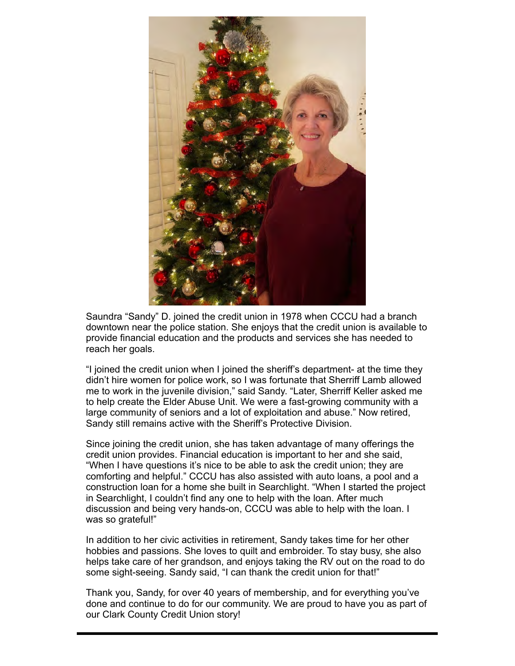

Saundra "Sandy" D. joined the credit union in 1978 when CCCU had a branch downtown near the police station. She enjoys that the credit union is available to provide financial education and the products and services she has needed to reach her goals.

"I joined the credit union when I joined the sheriff's department- at the time they didn't hire women for police work, so I was fortunate that Sherriff Lamb allowed me to work in the juvenile division," said Sandy. "Later, Sherriff Keller asked me to help create the Elder Abuse Unit. We were a fast-growing community with a large community of seniors and a lot of exploitation and abuse." Now retired, Sandy still remains active with the Sheriff's Protective Division.

Since joining the credit union, she has taken advantage of many offerings the credit union provides. Financial education is important to her and she said, "When I have questions it's nice to be able to ask the credit union; they are comforting and helpful." CCCU has also assisted with auto loans, a pool and a construction loan for a home she built in Searchlight. "When I started the project in Searchlight, I couldn't find any one to help with the loan. After much discussion and being very hands-on, CCCU was able to help with the loan. I was so grateful!"

In addition to her civic activities in retirement, Sandy takes time for her other hobbies and passions. She loves to quilt and embroider. To stay busy, she also helps take care of her grandson, and enjoys taking the RV out on the road to do some sight-seeing. Sandy said, "I can thank the credit union for that!"

Thank you, Sandy, for over 40 years of membership, and for everything you've done and continue to do for our community. We are proud to have you as part of our Clark County Credit Union story!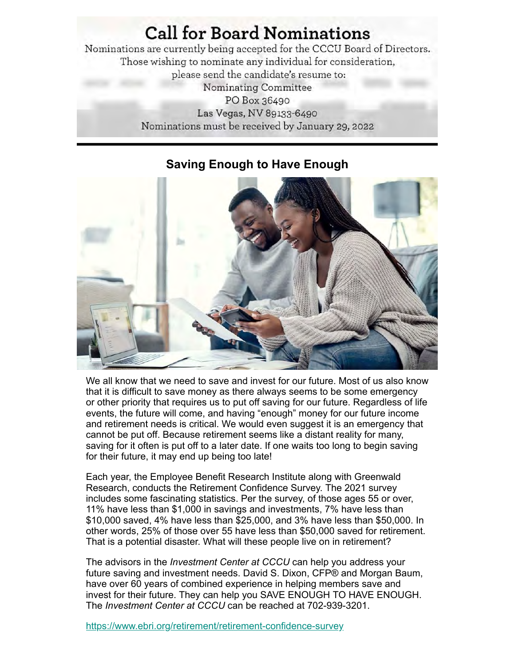# **Call for Board Nominations**

Nominations are currently being accepted for the CCCU Board of Directors. Those wishing to nominate any individual for consideration, please send the candidate's resume to: Nominating Committee PO Box 36490 Las Vegas, NV 89133-6490 Nominations must be received by January 29, 2022



## **Saving Enough to Have Enough**

We all know that we need to save and invest for our future. Most of us also know that it is difficult to save money as there always seems to be some emergency or other priority that requires us to put off saving for our future. Regardless of life events, the future will come, and having "enough" money for our future income and retirement needs is critical. We would even suggest it is an emergency that cannot be put off. Because retirement seems like a distant reality for many, saving for it often is put off to a later date. If one waits too long to begin saving for their future, it may end up being too late!

Each year, the Employee Benefit Research Institute along with Greenwald Research, conducts the Retirement Confidence Survey. The 2021 survey includes some fascinating statistics. Per the survey, of those ages 55 or over, 11% have less than \$1,000 in savings and investments, 7% have less than \$10,000 saved, 4% have less than \$25,000, and 3% have less than \$50,000. In other words, 25% of those over 55 have less than \$50,000 saved for retirement. That is a potential disaster. What will these people live on in retirement?

The advisors in the *Investment Center at CCCU* can help you address your future saving and investment needs. David S. Dixon, CFP® and Morgan Baum, have over 60 years of combined experience in helping members save and invest for their future. They can help you SAVE ENOUGH TO HAVE ENOUGH. The *Investment Center at CCCU* can be reached at 702-939-3201.

<https://www.ebri.org/retirement/retirement-confidence-survey>